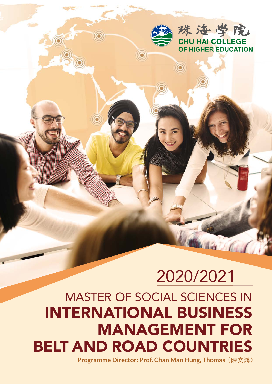

as Col

# 2020/2021 MASTER OF SOCIAL SCIENCES IN INTERNATIONAL BUSINESS MANAGEMENT FOR BELT AND ROAD COUNTRIES

 $\circledcirc$ 

**Programme Director: Prof. Chan Man Hung, Thomas(陳文鴻)**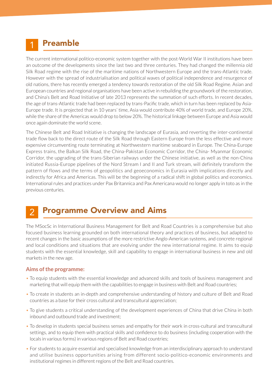#### Preamble 1

The current international politico-economic system together with the post-World War II institutions have been an outcome of the developments since the last two and three centuries. They had changed the millennia old Silk Road regime with the rise of the maritime nations of Northwestern Europe and the trans-Atlantic trade. However with the spread of industrialisation and political waves of political independence and resurgence of old nations, there has recently emerged a tendency towards restoration of the old Silk Road Regime. Asian and European countries and regional organisations have been active in rebuilding the groundwork of the restoration, and China's Belt and Road Initiative of late 2013 represents the summation of such efforts. In recent decades, the age of trans-Atlantic trade had been replaced by trans-Pacific trade, which in turn has been replaced by Asia-Europe trade. It is projected that in 10 years' time, Asia would contribute 40% of world trade, and Europe 20%, while the share of the Americas would drop to below 20%. The historical linkage between Europe and Asia would once again dominate the world scene.

The Chinese Belt and Road Initiative is changing the landscape of Eurasia, and reverting the inter-continental trade flow back to the direct route of the Silk Road through Eastern Europe from the less effective and more expensive circumventing route terminating at Northwestern maritime seaboard in Europe. The China-Europe Express trains, the Balkan Silk Road, the China-Pakistan Economic Corridor, the China- Myanmar Economic Corridor, the upgrading of the trans-Siberian railways under the Chinese initiative, as well as the non-China initiated Russia-Europe pipelines of the Nord Stream I and II and Turk stream, will definitely transform the pattern of flows and the terms of geopolitics and geoeconomics in Eurasia with implications directly and indirectly for Africa and Americas. This will be the beginning of a radical shift in global politics and economics. International rules and practices under Pax Britannica and Pax Americana would no longer apply in toto as in the previous centuries.

#### Programme Overview and Aims 2

The MSocSc in International Business Management for Belt and Road Countries is a comprehensive but also focused business learning grounded on both international theory and practices of business, but adapted to recent changes in the basic assumptions of the more restrictive Anglo-American systems, and concrete regional and local conditions and situations that are evolving under the new international regime. It aims to equip students with the essential knowledge, skill and capability to engage in international business in new and old markets in the new age.

#### **Aims of the programme:**

- To equip students with the essential knowledge and advanced skills and tools of business management and marketing that will equip them with the capabilities to engage in business with Belt and Road countries;
- To create in students an in-depth and comprehensive understanding of history and culture of Belt and Road countries as a base for their cross cultural and transcultural appreciation;
- To give students a critical understanding of the development experiences of China that drive China in both inbound and outbound trade and investment;
- To develop in students special business senses and empathy for their work in cross-cultural and transcultural settings, and to equip them with practical skills and confidence to do business (including cooperation with the locals in various forms) in various regions of Belt and Road countries;
- For students to acquire essential and specialised knowledge from an interdisciplinary approach to understand and utilise business opportunities arising from different socio-politico-economic environments and institutional regimes in different regions of the Belt and Road countries.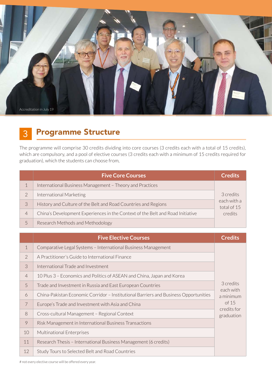

#### Programme Structure 3

The programme will comprise 30 credits dividing into core courses (3 credits each with a total of 15 credits), which are compulsory, and a pool of elective courses (3 credits each with a minimum of 15 credits required for graduation), which the students can choose from,

|                | <b>Five Core Courses</b>                                                       | <b>Credits</b>                                     |
|----------------|--------------------------------------------------------------------------------|----------------------------------------------------|
|                | International Business Management - Theory and Practices                       | 3 credits<br>each with a<br>total of 15<br>credits |
| $\overline{2}$ | International Marketing                                                        |                                                    |
| 3              | History and Culture of the Belt and Road Countries and Regions                 |                                                    |
| 4              | China's Development Experiences in the Context of the Belt and Road Initiative |                                                    |
|                | Research Methods and Methodology                                               |                                                    |

|                | <b>Five Elective Courses</b>                                                         | <b>Credits</b>                                                            |
|----------------|--------------------------------------------------------------------------------------|---------------------------------------------------------------------------|
| $\mathbf 1$    | Comparative Legal Systems - International Business Management                        | 3 credits<br>each with<br>a minimum<br>of 15<br>credits for<br>graduation |
| $\overline{2}$ | A Practitioner's Guide to International Finance                                      |                                                                           |
| 3              | International Trade and Investment                                                   |                                                                           |
| $\overline{4}$ | 10 Plus 3 - Economics and Politics of ASEAN and China, Japan and Korea               |                                                                           |
| 5              | Trade and Investment in Russia and East European Countries                           |                                                                           |
| 6              | China-Pakistan Economic Corridor - Institutional Barriers and Business Opportunities |                                                                           |
| $\overline{7}$ | Europe's Trade and Investment with Asia and China                                    |                                                                           |
| 8              | Cross-cultural Management - Regional Context                                         |                                                                           |
| 9              | Risk Management in International Business Transactions                               |                                                                           |
| 10             | <b>Multinational Enterprises</b>                                                     |                                                                           |
| 11             | Research Thesis - International Business Management (6 credits)                      |                                                                           |
| 12             | Study Tours to Selected Belt and Road Countries                                      |                                                                           |

# not every elective course will be offered every year.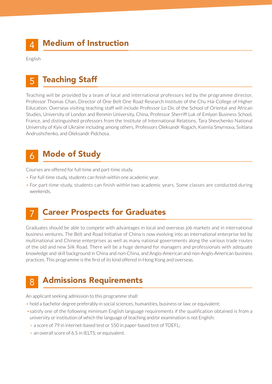English

### Teaching Staff 5

Teaching will be provided by a team of local and international professors led by the programme director, Professor Thomas Chan, Director of One Belt One Road Research Institute of the Chu Hai College of Higher Education. Overseas visiting teaching staff will include Professor Lo Dic of the School of Oriental and African Studies, University of London and Renmin University, China, Professor Sherriff Luk of Emlyon Business School, France, and distinguished professors from the Institute of International Relations, Tara Shevchenko National University of Kyiv of Ukraine including among others, Professors Oleksandr Rogach, Kseniia Smyrnova, Svitlana Andrushchenko, and Oleksandr Pidchosa.

#### Mode of Study 6

Courses are offered for full-time and part-time study.

- For full-time study, students can finish within one academic year.
- For part-time study, students can finish within two academic years. Some classes are conducted during weekends.

#### Career Prospects for Graduates 7

Graduates should be able to compete with advantages in local and overseas job markets and in international business ventures. The Belt and Road Initiative of China is now evolving into an international enterprise led by multinational and Chinese enterprises as well as many national governments along the various trade routes of the old and new Silk Road. There will be a huge demand for managers and professionals with adequate knowledge and skill background in China and non-China, and Anglo-American and non-Anglo-American business practices. This programme is the first of its kind offered in Hong Kong and overseas.

#### Admissions Requirements 8

An applicant seeking admission to this programme shall:

- hold a bachelor degree preferably in social sciences, humanities, business or law; or equivalent;
- •satisfy one of the following minimum English language requirements if the qualification obtained is from a university or institution of which the language of teaching and/or examination is not English:
	- a score of 79 in internet-based test or 550 in paper-based test of TOEFL;
	- an overall score of 6.5 in IELTS; or equivalent.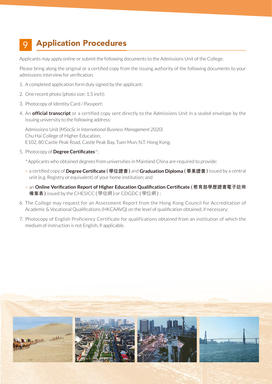#### Application Procedures 9

Applicants may apply online or submit the following documents to the Admissions Unit of the College.

Please bring along the original or a certified copy from the issuing authority of the following documents to your admissions interview for verification.

- 1. A completed application form duly signed by the applicant;
- 2. One recent photo (photo size: 1.5 inch);
- 3. Photocopy of Identity Card / Passport;
- 4. An **official transcript** or a certified copy sent directly to the Admissions Unit in a sealed envelope by the issuing university to the following address:

Admissions Unit *(MSocSc in International Business Management 2020)* Chu Hai College of Higher Education, E102, 80 Castle Peak Road, Castle Peak Bay, Tuen Mun, N.T. Hong Kong.

5. Photocopy of **Degree Certificates**^;

^Applicants who obtained degrees from universities in Mainland China are required to provide:

- a certified copy of **Degree Certificate (學位證書)** and **Graduation Diploma (畢業證書)** issued by a central unit (e.g. Registry or equivalent) of your home institution; and
- an **Online Verification Report of Higher Education Qualification Certificate (教育部學歷證書電子註冊 備案表)** issued by the CHESICC (學信網) or CDGDC (學位網) ;
- 6. The College may request for an Assessment Report from the Hong Kong Council for Accreditation of Academic & Vocational Qualifications (HKCAAVQ) on the level of qualification obtained, if necessary;
- 7. Photocopy of English Proficiency Certificate for qualifications obtained from an institution of which the medium of instruction is not English, if applicable.

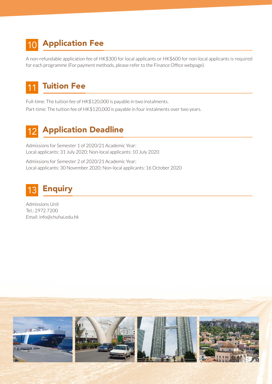## 10 **Application Fee**

A non-refundable application fee of HK\$300 for local applicants or HK\$600 for non-local applicants is required for each programme (For payment methods, please refer to the Finance Office webpage).

#### Tuition Fee 11

Full-time: The tuition fee of HK\$120,000 is payable in two instalments. Part-time: The tuition fee of HK\$120,000 is payable in four instalments over two years.

### 12 Application Deadline

Admissions for Semester 1 of 2020/21 Academic Year: Local applicants: 31 July 2020; Non-local applicants: 10 July 2020

Admissions for Semester 2 of 2020/21 Academic Year: Local applicants: 30 November 2020; Non-local applicants: 16 October 2020



Admissions Unit Tel.: 2972 7200 Email: info@chuhai.edu.hk

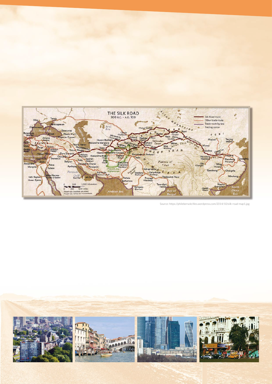

Source: https://philebersole.files.wordpress.com/2014/10/silk-road-map1.jpg